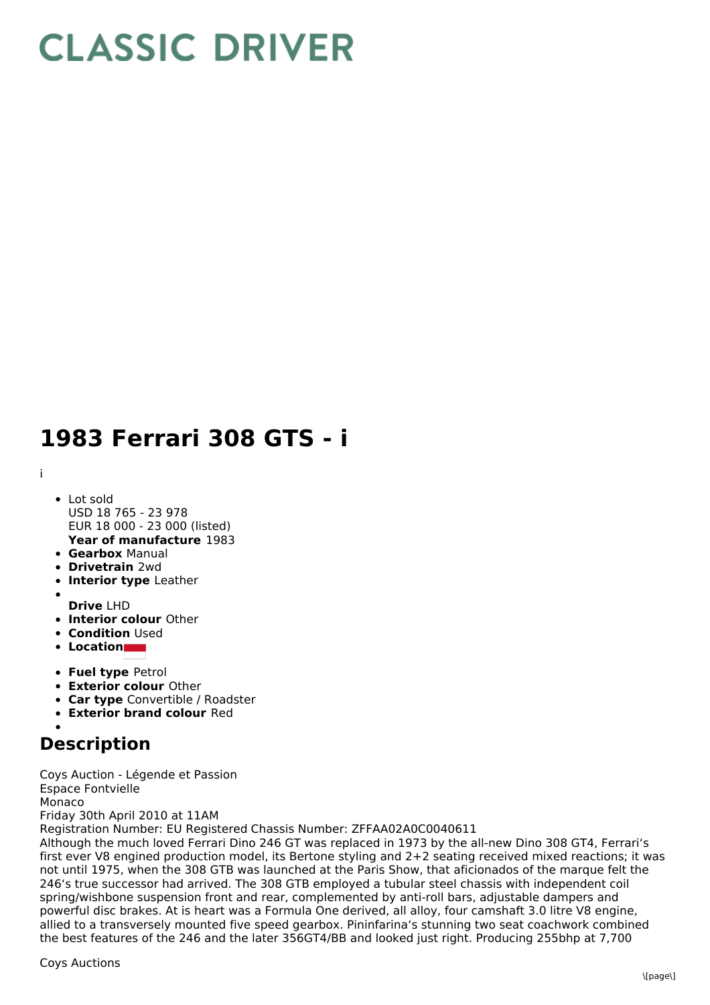## **CLASSIC DRIVER**

## **1983 Ferrari 308 GTS - i**

i

- **Year of manufacture** 1983 • Lot sold USD 18 765 - 23 978 EUR 18 000 - 23 000 (listed)
- **Gearbox** Manual
- **Drivetrain** 2wd
- **Interior type** Leather
- 
- **Drive** LHD
- **Interior colour** Other
- **Condition** Used
- **Location**
- **Fuel type** Petrol
- **Exterior colour** Other
- **Car type** Convertible / Roadster
- **Exterior brand colour** Red

## **Description**

Coys Auction - Légende et Passion Espace Fontvielle Monaco Friday 30th April 2010 at 11AM Registration Number: EU Registered Chassis Number: ZFFAA02A0C0040611 Although the much loved Ferrari Dino 246 GT was replaced in 1973 by the all-new Dino 308 GT4, Ferrari's first ever V8 engined production model, its Bertone styling and 2+2 seating received mixed reactions; it was

not until 1975, when the 308 GTB was launched at the Paris Show, that aficionados of the marque felt the 246's true successor had arrived. The 308 GTB employed a tubular steel chassis with independent coil spring/wishbone suspension front and rear, complemented by anti-roll bars, adjustable dampers and powerful disc brakes. At is heart was a Formula One derived, all alloy, four camshaft 3.0 litre V8 engine, allied to a transversely mounted five speed gearbox. Pininfarina's stunning two seat coachwork combined the best features of the 246 and the later 356GT4/BB and looked just right. Producing 255bhp at 7,700

Coys Auctions